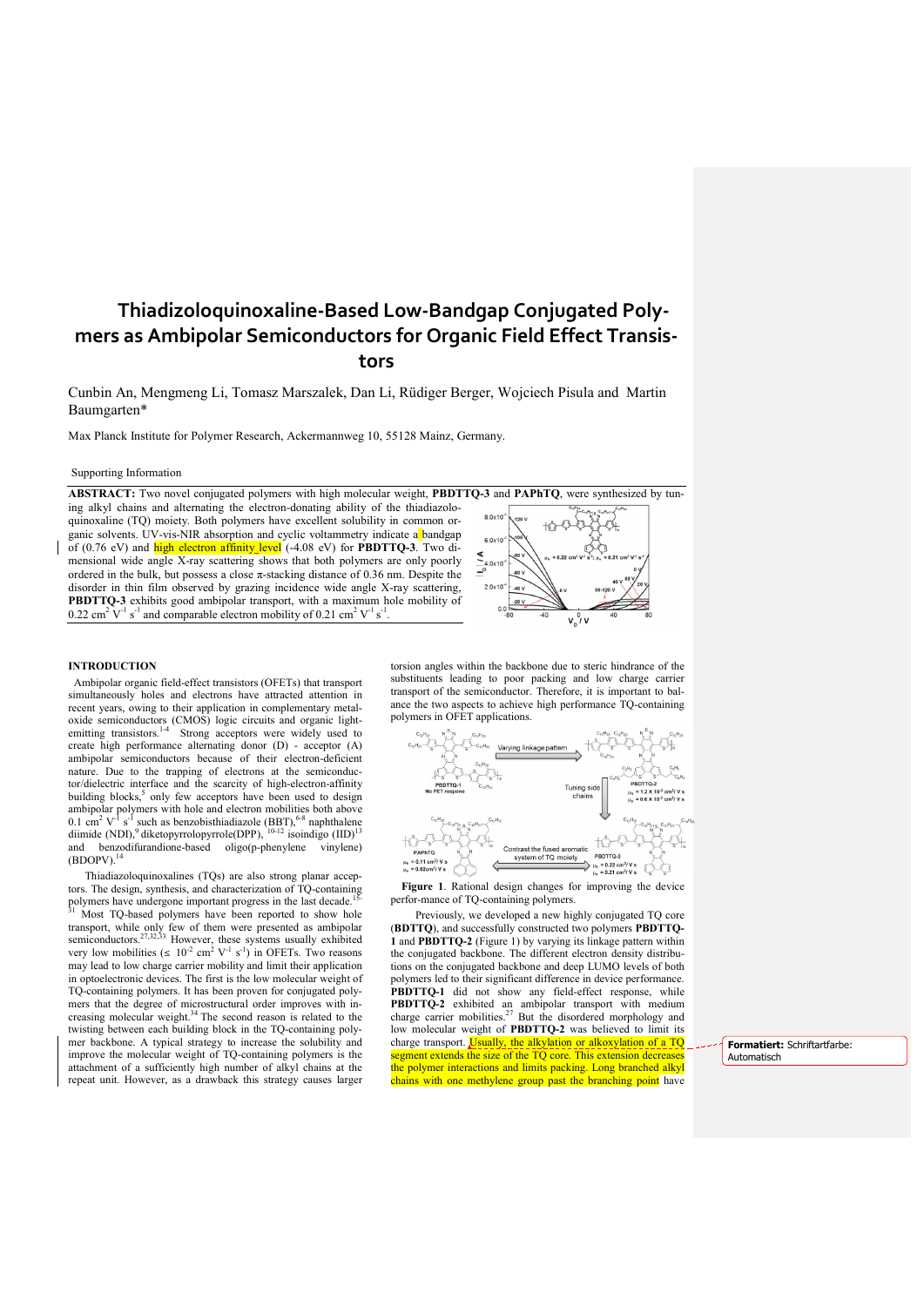# Thiadizoloquinoxaline-Based Low-Bandgap Conjugated Polymers as Ambipolar Semiconductors for Organic Field Effect Transistors

Cunbin An, Mengmeng Li, Tomasz Marszalek, Dan Li, Rüdiger Berger, Wojciech Pisula and Martin Baumgarten\*

Max Planck Institute for Polymer Research, Ackermannweg 10, 55128 Mainz, Germany.

#### Supporting Information

ABSTRACT: Two novel conjugated polymers with high molecular weight, PBDTTQ-3 and PAPhTQ, were synthesized by tuning alkyl chains and alternating the electron-donating ability of the thiadiazoloquinoxaline (TQ) moiety. Both polymers have excellent solubility in common organic solvents. UV-vis-NIR absorption and cyclic voltammetry indicate a bandgap of (0.76 eV) and high electron affinity level (-4.08 eV) for PBDTTQ-3. Two dimensional wide angle X-ray scattering shows that both polymers are only poorly ordered in the bulk, but possess a close  $\pi$ -stacking distance of 0.36 nm. Despite the disorder in thin film observed by grazing incidence wide angle X-ray scattering, PBDTTQ-3 exhibits good ambipolar transport, with a maximum hole mobility of 0.22 cm<sup>2</sup> V<sup>-1</sup> s<sup>-1</sup> and comparable electron mobility of 0.21 cm<sup>2</sup> V<sup>-1</sup> s<sup>-1</sup> .



#### INTRODUCTION

 Ambipolar organic field-effect transistors (OFETs) that transport simultaneously holes and electrons have attracted attention in recent years, owing to their application in complementary metaloxide semiconductors (CMOS) logic circuits and organic light-<br>emitting transistors.<sup>1-4</sup> Strong acceptors were widely used to create high performance alternating donor (D) - acceptor (A) ambipolar semiconductors because of their electron-deficient nature. Due to the trapping of electrons at the semiconductor/dielectric interface and the scarcity of high-electron-affinity building blocks,<sup>5</sup> only few acceptors have been used to design ambipolar polymers with hole and electron mobilities both above 0.1 cm<sup>2</sup> V<sup>-1</sup> s<sup>-1</sup> such as benzobisthiadiazole (BBT),<sup>6-8</sup> naphthalene diimide (NDI),<sup>9</sup> diketopyrrolopyrrole(DPP), <sup>10-12</sup> isoindigo (IID)<sup>13</sup> and benzodifurandione-based oligo(p-phenylene vinylene)<br>(BDOPV).<sup>14</sup>

 Thiadiazoloquinoxalines (TQs) are also strong planar acceptors. The design, synthesis, and characterization of TQ-containing polymers have undergone important progress in the last decade. Most TQ-based polymers have been reported to show hole transport, while only few of them were presented as ambipolar semiconductors.<sup>27,32,33</sup> However, these systems usually exhibited very low mobilities ( $\leq 10^{-2}$  cm<sup>2</sup> V<sup>-1</sup> s<sup>-1</sup>) in OFETs. Two reasons may lead to low charge carrier mobility and limit their application in optoelectronic devices. The first is the low molecular weight of TQ-containing polymers. It has been proven for conjugated polymers that the degree of microstructural order improves with increasing molecular weight. <sup>34</sup> The second reason is related to the twisting between each building block in the TQ-containing polymer backbone. A typical strategy to increase the solubility and improve the molecular weight of TQ-containing polymers is the attachment of a sufficiently high number of alkyl chains at the repeat unit. However, as a drawback this strategy causes larger

torsion angles within the backbone due to steric hindrance of the substituents leading to poor packing and low charge carrier transport of the semiconductor. Therefore, it is important to balance the two aspects to achieve high performance TQ-containing polymers in OFET applications.



Figure 1. Rational design changes for improving the device perfor-mance of TQ-containing polymers.

 Previously, we developed a new highly conjugated TQ core (BDTTQ), and successfully constructed two polymers PBDTTQ-1 and **PBDTTQ-2** (Figure 1) by varying its linkage pattern within the conjugated backbone. The different electron density distributions on the conjugated backbone and deep LUMO levels of both polymers led to their significant difference in device performance. PBDTTQ-1 did not show any field-effect response, while **PBDTTQ-2** exhibited an ambipolar transport with medium charge carrier mobilities.<sup>27</sup> But the disordered morphology and low molecular weight of PBDTTQ-2 was believed to limit its charge transport. Usually, the alkylation or alkoxylation of a TQ segment extends the size of the TQ core. This extension decreases the polymer interactions and limits packing. Long branched alkyl chains with one methylene group past the branching point have

Formatiert: Schriftartfarbe: Automatisch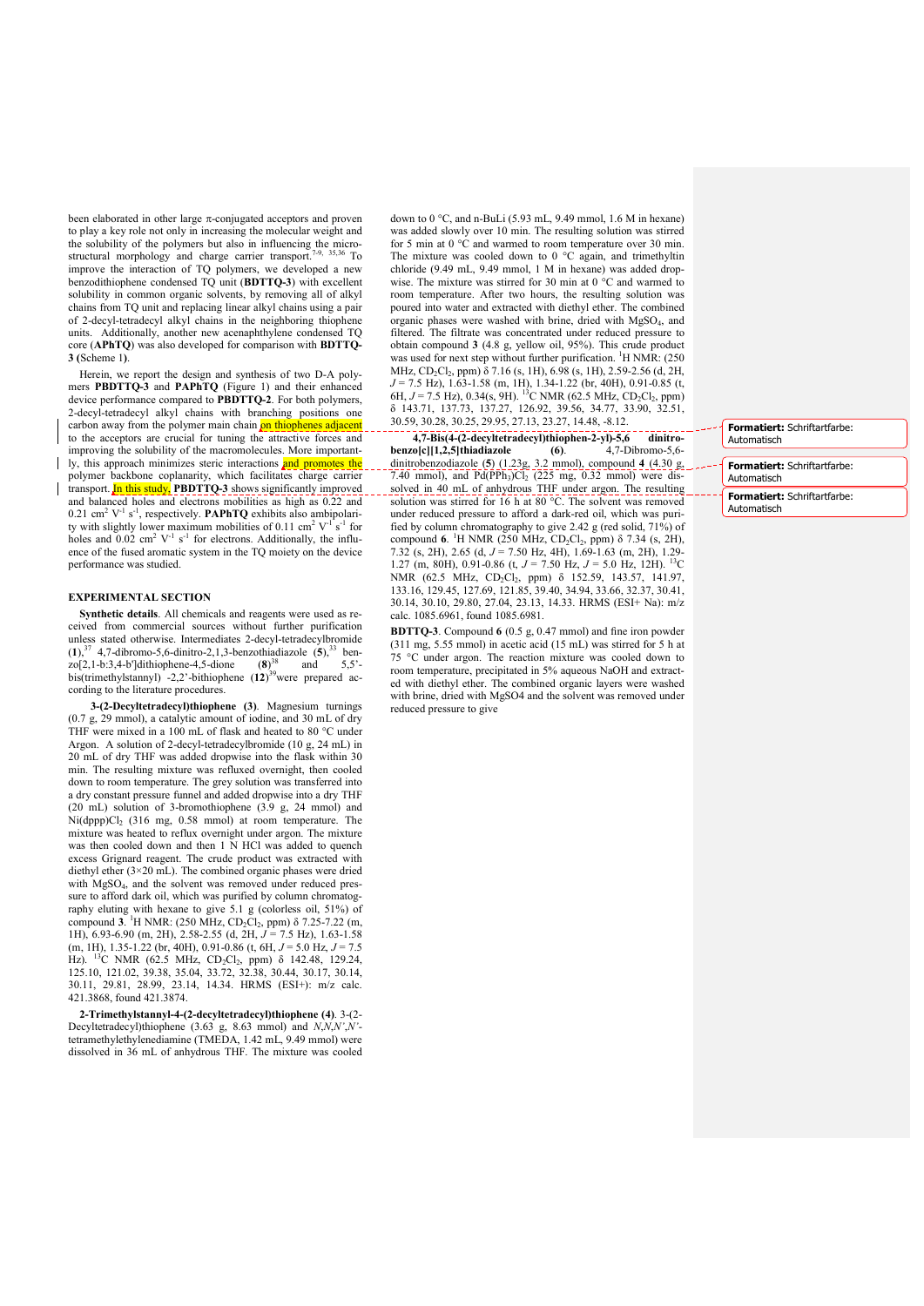been elaborated in other large  $\pi$ -conjugated acceptors and proven to play a key role not only in increasing the molecular weight and the solubility of the polymers but also in influencing the microstructural morphology and charge carrier transport.<sup>7-9, 35,36</sup> To improve the interaction of TQ polymers, we developed a new benzodithiophene condensed TQ unit (BDTTQ-3) with excellent solubility in common organic solvents, by removing all of alkyl chains from TQ unit and replacing linear alkyl chains using a pair of 2-decyl-tetradecyl alkyl chains in the neighboring thiophene units. Additionally, another new acenaphthylene condensed TQ core (APhTQ) was also developed for comparison with BDTTQ-3 (Scheme 1).

Herein, we report the design and synthesis of two D-A polymers PBDTTQ-3 and PAPhTQ (Figure 1) and their enhanced device performance compared to PBDTTQ-2. For both polymers, 2-decyl-tetradecyl alkyl chains with branching positions one carbon away from the polymer main chain on thiophenes adjacent to the acceptors are crucial for tuning the attractive forces and improving the solubility of the macromolecules. More importantly, this approach minimizes steric interactions and promotes the polymer backbone coplanarity, which facilitates charge carrier transport. In this study, PBDTTO-3 shows significantly improved and balanced holes and electrons mobilities as high as 0.22 and 0.21 cm<sup>2</sup>  $V^{-1}$  s<sup>-1</sup>, respectively. **PAPhTQ** exhibits also ambipolarity with slightly lower maximum mobilities of 0.11 cm<sup>2</sup>  $V^{-1}$  s<sup>-1</sup> for holes and  $0.02 \text{ cm}^2 \text{ V}^{-1} \text{ s}^{-1}$  for electrons. Additionally, the influence of the fused aromatic system in the TQ moiety on the device performance was studied.

# EXPERIMENTAL SECTION

Synthetic details. All chemicals and reagents were used as received from commercial sources without further purification unless stated otherwise. Intermediates 2-decyl-tetradecylbromide  $(1)$ ,<sup>37</sup> 4,7-dibromo-5,6-dinitro-2,1,3-benzothiadiazole  $(5)$ , <sup>33</sup> ben $z_0[2,1-b:3,4-b']$ dithiophene-4,5-dione  $(8)^{38}$  and  $5,5'$ bis(trimethylstannyl) -2,2'-bithiophene (12)<sup>39</sup>were prepared according to the literature procedures.

 3-(2-Decyltetradecyl)thiophene (3). Magnesium turnings (0.7 g, 29 mmol), a catalytic amount of iodine, and 30 mL of dry THF were mixed in a 100 mL of flask and heated to 80 °C under Argon. A solution of 2-decyl-tetradecylbromide (10 g, 24 mL) in 20 mL of dry THF was added dropwise into the flask within 30 min. The resulting mixture was refluxed overnight, then cooled down to room temperature. The grey solution was transferred into a dry constant pressure funnel and added dropwise into a dry THF (20 mL) solution of 3-bromothiophene (3.9 g, 24 mmοl) and Ni(dppp)Cl<sub>2</sub> (316 mg, 0.58 mmol) at room temperature. The mixture was heated to reflux overnight under argon. The mixture was then cooled down and then 1 N HCl was added to quench excess Grignard reagent. The crude product was extracted with diethyl ether (3×20 mL). The combined organic phases were dried with MgSO<sub>4</sub>, and the solvent was removed under reduced pressure to afford dark oil, which was purified by column chromatography eluting with hexane to give 5.1 g (colorless oil, 51%) of compound 3. <sup>1</sup>H NMR: (250 MHz, CD<sub>2</sub>Cl<sub>2</sub>, ppm) δ 7.25-7.22 (m, 1H), 6.93-6.90 (m, 2H), 2.58-2.55 (d, 2H, *J* = 7.5 Hz), 1.63-1.58 (m, 1H), 1.35-1.22 (br, 40H), 0.91-0.86 (t, 6H, *J* = 5.0 Hz, *J* = 7.5 Hz). <sup>13</sup>C NMR (62.5 MHz, CD<sub>2</sub>Cl<sub>2</sub>, ppm) δ 142.48, 129.24, 125.10, 121.02, 39.38, 35.04, 33.72, 32.38, 30.44, 30.17, 30.14, 30.11, 29.81, 28.99, 23.14, 14.34. HRMS (ESI+): m/z calc. 421.3868, found 421.3874.

2-Trimethylstannyl-4-(2-decyltetradecyl)thiophene (4). 3-(2- Decyltetradecyl)thiophene (3.63 g, 8.63 mmol) and *N*,*N*,*N'*,*N'* tetramethylethylenediamine (TMEDA, 1.42 mL, 9.49 mmol) were dissolved in 36 mL of anhydrous THF. The mixture was cooled down to  $0^{\circ}$ C, and n-BuLi (5.93 mL, 9.49 mmol, 1.6 M in hexane) was added slowly over 10 min. The resulting solution was stirred for 5 min at 0 °C and warmed to room temperature over 30 min. The mixture was cooled down to  $0^{\circ}$ C again, and trimethyltin chloride (9.49 mL, 9.49 mmol, 1 M in hexane) was added dropwise. The mixture was stirred for 30 min at 0 °C and warmed to room temperature. After two hours, the resulting solution was poured into water and extracted with diethyl ether. The combined organic phases were washed with brine, dried with MgSO<sub>4</sub>, and filtered. The filtrate was concentrated under reduced pressure to obtain compound 3 (4.8 g, yellow oil, 95%). This crude product was used for next step without further purification. <sup>1</sup>H NMR: (250) MHz, CD<sub>2</sub>Cl<sub>2</sub>, ppm) δ 7.16 (s, 1H), 6.98 (s, 1H), 2.59-2.56 (d, 2H, *J* = 7.5 Hz), 1.63-1.58 (m, 1H), 1.34-1.22 (br, 40H), 0.91-0.85 (t, 6H,  $J = 7.5$  Hz), 0.34(s, 9H). <sup>13</sup>C NMR (62.5 MHz, CD<sub>2</sub>Cl<sub>2</sub>, ppm) δ 143.71, 137.73, 137.27, 126.92, 39.56, 34.77, 33.90, 32.51, 30.59, 30.28, 30.25, 29.95, 27.13, 23.27, 14.48, -8.12.

 4,7-Bis(4-(2-decyltetradecyl)thiophen-2-yl)-5,6 dinitrobenzo[c][1,2,5]thiadiazole (6). 4,7-Dibromo-5,6 dinitrobenzodiazole (5) (1.23g, 3.2 mmol), compound 4 (4.30 g, 7.40 mmol), and  $Pd(PPh<sub>3</sub>)Cl<sub>2</sub>$  (225 mg, 0.32 mmol) were dissolved in 40 mL of anhydrous THF under argon. The resulting solution was stirred for 16 h at 80 °C. The solvent was removed under reduced pressure to afford a dark-red oil, which was purified by column chromatography to give 2.42 g (red solid, 71%) of compound 6. <sup>1</sup>H NMR (250 MHz, CD<sub>2</sub>Cl<sub>2</sub>, ppm) δ 7.34 (s, 2H), 7.32 (s, 2H), 2.65 (d, *J* = 7.50 Hz, 4H), 1.69-1.63 (m, 2H), 1.29- 1.27 (m, 80H), 0.91-0.86 (t, *J* = 7.50 Hz, *J* = 5.0 Hz, 12H). 13C NMR (62.5 MHz, CD<sub>2</sub>Cl<sub>2</sub>, ppm) δ 152.59, 143.57, 141.97, 133.16, 129.45, 127.69, 121.85, 39.40, 34.94, 33.66, 32.37, 30.41, 30.14, 30.10, 29.80, 27.04, 23.13, 14.33. HRMS (ESI+ Na): m/z calc. 1085.6961, found 1085.6981.

BDTTQ-3. Compound 6 (0.5 g, 0.47 mmol) and fine iron powder (311 mg, 5.55 mmol) in acetic acid (15 mL) was stirred for 5 h at 75 C under argon. The reaction mixture was cooled down to room temperature, precipitated in 5% aqueous NaOH and extracted with diethyl ether. The combined organic layers were washed with brine, dried with MgSO4 and the solvent was removed under reduced pressure to give

Formatiert: Schriftartfarbe: Automatisch

Formatiert: Schriftartfarbe: Automatisch

Formatiert: Schriftartfarbe: Automatisch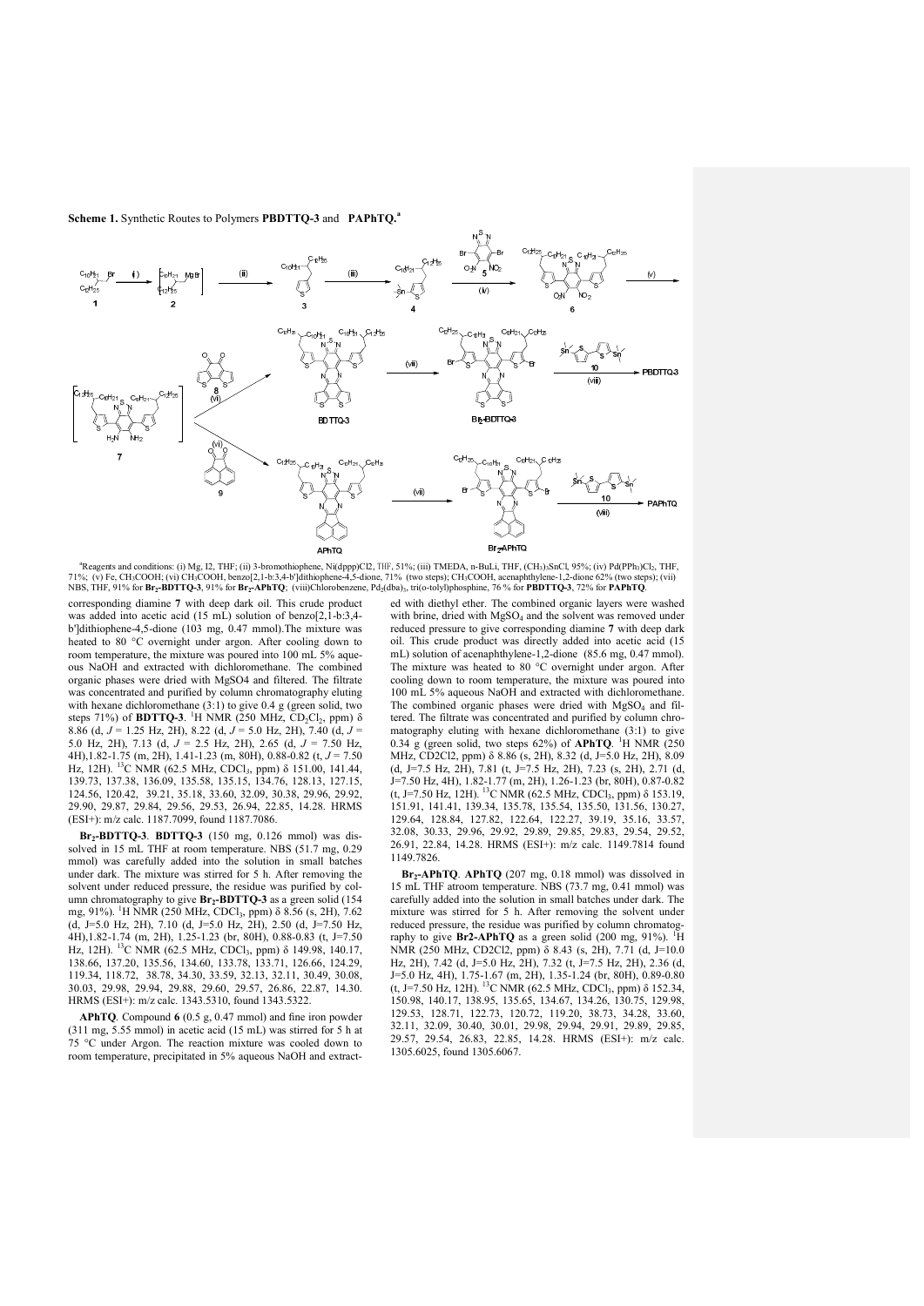

<sup>a</sup>Reagents and conditions: (i) Mg, I2, THF; (ii) 3-bromothiophene, Ni(dppp)Cl2, THF, 51%; (iii) TMEDA, n-BuLi, THF, (CH3)3SnCl, 95%; (iv) Pd(PPh3)Cl2, THF, 71%; (v) Fe, CH3COOH; (vi) CH3COOH, benzo[2,1-b:3,4-b']dithiophene-4,5-dione, 71% (two steps); CH3COOH, acenaphthylene-1,2-dione 62% (two steps); (vii)<br>NBS, THF, 91% for **Br2-BDTTQ-3**, 91% for **Br2-APhTQ**; (viii)Chlorobenz

corresponding diamine 7 with deep dark oil. This crude product was added into acetic acid (15 mL) solution of benzo[2,1-b:3,4 b']dithiophene-4,5-dione (103 mg, 0.47 mmol).The mixture was heated to 80 °C overnight under argon. After cooling down to room temperature, the mixture was poured into 100 mL 5% aqueous NaOH and extracted with dichloromethane. The combined organic phases were dried with MgSO4 and filtered. The filtrate was concentrated and purified by column chromatography eluting with hexane dichloromethane  $(3:1)$  to give 0.4 g (green solid, two steps 71%) of **BDTTQ-3**. <sup>1</sup>H NMR (250 MHz,  $CD_2Cl_2$ , ppm)  $\delta$ 8.86 (d, *J* = 1.25 Hz, 2H), 8.22 (d, *J* = 5.0 Hz, 2H), 7.40 (d, *J* = 5.0 Hz, 2H), 7.13 (d, *J* = 2.5 Hz, 2H), 2.65 (d, *J* = 7.50 Hz, 4H),1.82-1.75 (m, 2H), 1.41-1.23 (m, 80H), 0.88-0.82 (t, *J* = 7.50 Hz, 12H). 13C NMR (62.5 MHz, CDCl*3*, ppm) δ 151.00, 141.44, 139.73, 137.38, 136.09, 135.58, 135.15, 134.76, 128.13, 127.15, 124.56, 120.42, 39.21, 35.18, 33.60, 32.09, 30.38, 29.96, 29.92, 29.90, 29.87, 29.84, 29.56, 29.53, 26.94, 22.85, 14.28. HRMS (ESI+): m/z calc. 1187.7099, found 1187.7086.

 $Br<sub>2</sub>-BDTTQ-3$ .  $BDTTQ-3$  (150 mg, 0.126 mmol) was dissolved in 15 mL THF at room temperature. NBS (51.7 mg, 0.29 mmol) was carefully added into the solution in small batches under dark. The mixture was stirred for 5 h. After removing the solvent under reduced pressure, the residue was purified by column chromatography to give  $Br_2-BDTTQ-3$  as a green solid (154 mg, 91%). <sup>1</sup>H NMR (250 MHz, CDCl<sub>3</sub>, ppm) δ 8.56 (s, 2H), 7.62  $(d, J=5.0$  Hz, 2H), 7.10  $(d, J=5.0$  Hz, 2H), 2.50  $(d, J=7.50$  Hz, 4H),1.82-1.74 (m, 2H), 1.25-1.23 (br, 80H), 0.88-0.83 (t, J=7.50 Hz, 12H). <sup>13</sup>C NMR (62.5 MHz, CDCl<sub>3</sub>, ppm) δ 149.98, 140.17, 138.66, 137.20, 135.56, 134.60, 133.78, 133.71, 126.66, 124.29, 119.34, 118.72, 38.78, 34.30, 33.59, 32.13, 32.11, 30.49, 30.08, 30.03, 29.98, 29.94, 29.88, 29.60, 29.57, 26.86, 22.87, 14.30. HRMS (ESI+): m/z calc. 1343.5310, found 1343.5322.

APhTQ. Compound 6 (0.5 g, 0.47 mmol) and fine iron powder (311 mg, 5.55 mmol) in acetic acid (15 mL) was stirred for 5 h at 75 °C under Argon. The reaction mixture was cooled down to room temperature, precipitated in 5% aqueous NaOH and extracted with diethyl ether. The combined organic layers were washed with brine, dried with  $MgSO_4$  and the solvent was removed under reduced pressure to give corresponding diamine 7 with deep dark oil. This crude product was directly added into acetic acid (15 mL) solution of acenaphthylene-1,2-dione (85.6 mg, 0.47 mmol). The mixture was heated to 80  $^{\circ}$ C overnight under argon. After cooling down to room temperature, the mixture was poured into 100 mL 5% aqueous NaOH and extracted with dichloromethane. The combined organic phases were dried with  $MgSO<sub>4</sub>$  and filtered. The filtrate was concentrated and purified by column chromatography eluting with hexane dichloromethane (3:1) to give 0.34 g (green solid, two steps 62%) of APhTQ. <sup>1</sup>H NMR (250) MHz, CD2Cl2, ppm) δ 8.86 (s, 2H), 8.32 (d, J=5.0 Hz, 2H), 8.09 (d, J=7.5 Hz, 2H), 7.81 (t, J=7.5 Hz, 2H), 7.23 (s, 2H), 2.71 (d, J=7.50 Hz, 4H), 1.82-1.77 (m, 2H), 1.26-1.23 (br, 80H), 0.87-0.82 (t, J=7.50 Hz, 12H). <sup>13</sup>C NMR (62.5 MHz, CDCl<sub>3</sub>, ppm)  $\delta$  153.19, 151.91, 141.41, 139.34, 135.78, 135.54, 135.50, 131.56, 130.27, 129.64, 128.84, 127.82, 122.64, 122.27, 39.19, 35.16, 33.57, 32.08, 30.33, 29.96, 29.92, 29.89, 29.85, 29.83, 29.54, 29.52, 26.91, 22.84, 14.28. HRMS (ESI+): m/z calc. 1149.7814 found 1149.7826.

Br<sub>2</sub>-APhTQ. APhTQ (207 mg, 0.18 mmol) was dissolved in 15 mL THF atroom temperature. NBS (73.7 mg, 0.41 mmol) was carefully added into the solution in small batches under dark. The mixture was stirred for 5 h. After removing the solvent under reduced pressure, the residue was purified by column chromatography to give  $Br2$ -APhTQ as a green solid (200 mg, 91%). <sup>1</sup>H NMR (250 MHz, CD2Cl2, ppm) δ 8.43 (s, 2H), 7.71 (d, J=10.0 Hz, 2H), 7.42 (d, J=5.0 Hz, 2H), 7.32 (t, J=7.5 Hz, 2H), 2.36 (d, J=5.0 Hz, 4H), 1.75-1.67 (m, 2H), 1.35-1.24 (br, 80H), 0.89-0.80 (t, J=7.50 Hz, 12H). <sup>13</sup>C NMR (62.5 MHz, CDCl<sub>3</sub>, ppm)  $\delta$  152.34, 150.98, 140.17, 138.95, 135.65, 134.67, 134.26, 130.75, 129.98, 129.53, 128.71, 122.73, 120.72, 119.20, 38.73, 34.28, 33.60, 32.11, 32.09, 30.40, 30.01, 29.98, 29.94, 29.91, 29.89, 29.85, 29.57, 29.54, 26.83, 22.85, 14.28. HRMS (ESI+): m/z calc. 1305.6025, found 1305.6067.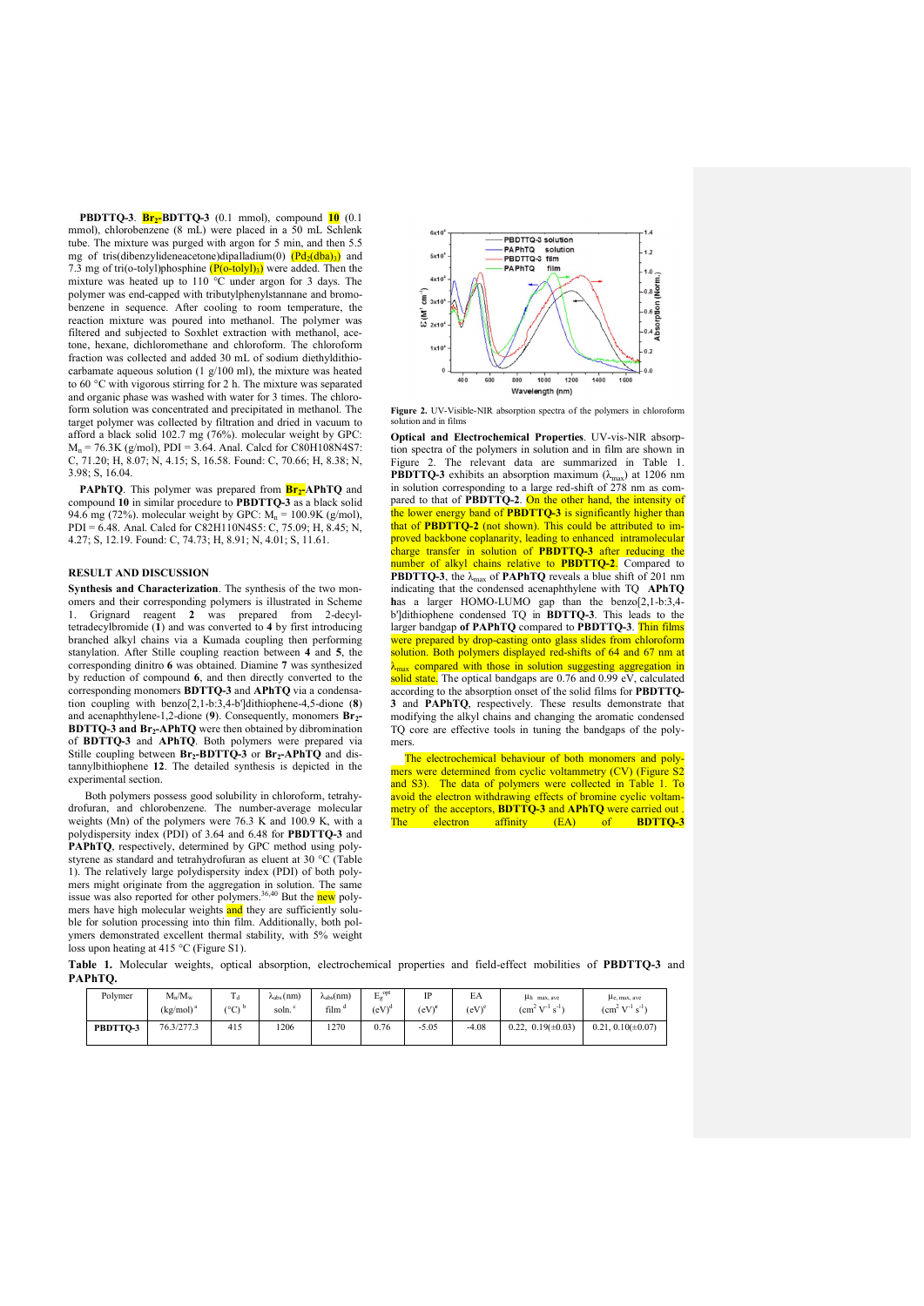**PBDTTO-3.**  $\frac{Br_2-BDTTO-3}{}$  (0.1 mmol), compound  $\frac{10}{10}$  (0.1) mmol), chlorobenzene (8 mL) were placed in a 50 mL Schlenk tube. The mixture was purged with argon for 5 min, and then 5.5 mg of tris(dibenzylideneacetone)dipalladium(0)  $(\overrightarrow{Pd_2(dba)}_3)$  and 7.3 mg of tri(o-tolyl)phosphine  $(P(o$ -tolyl)<sub>3</sub>) were added. Then the mixture was heated up to 110  $^{\circ}$ C under argon for 3 days. The polymer was end-capped with tributylphenylstannane and bromobenzene in sequence. After cooling to room temperature, the reaction mixture was poured into methanol. The polymer was filtered and subjected to Soxhlet extraction with methanol, acetone, hexane, dichloromethane and chloroform. The chloroform fraction was collected and added 30 mL of sodium diethyldithiocarbamate aqueous solution (1 g/100 ml), the mixture was heated to 60 °C with vigorous stirring for 2 h. The mixture was separated and organic phase was washed with water for 3 times. The chloroform solution was concentrated and precipitated in methanol. The target polymer was collected by filtration and dried in vacuum to afford a black solid 102.7 mg (76%). molecular weight by GPC:  $M_n = 76.3K$  (g/mol), PDI = 3.64. Anal. Calcd for C80H108N4S7: C, 71.20; H, 8.07; N, 4.15; S, 16.58. Found: C, 70.66; H, 8.38; N, 3.98; S, 16.04.

PAPhTQ. This polymer was prepared from **Br<sub>2</sub>-APhTQ** and compound 10 in similar procedure to PBDTTQ-3 as a black solid 94.6 mg (72%). molecular weight by GPC:  $M_n = 100.9K$  (g/mol), PDI = 6.48. Anal. Calcd for C82H110N4S5: C, 75.09; H, 8.45; N, 4.27; S, 12.19. Found: C, 74.73; H, 8.91; N, 4.01; S, 11.61.

## RESULT AND DISCUSSION

Synthesis and Characterization. The synthesis of the two monomers and their corresponding polymers is illustrated in Scheme 1. Grignard reagent 2 was prepared from 2-decyltetradecylbromide (1) and was converted to 4 by first introducing branched alkyl chains via a Kumada coupling then performing stanylation. After Stille coupling reaction between 4 and 5, the corresponding dinitro 6 was obtained. Diamine 7 was synthesized by reduction of compound 6, and then directly converted to the corresponding monomers BDTTQ-3 and APhTQ via a condensation coupling with benzo[2,1-b:3,4-b']dithiophene-4,5-dione (8) and acenaphthylene-1,2-dione (9). Consequently, monomers  $Br_2$ -**BDTTO-3 and Br<sub>2</sub>-APhTO** were then obtained by dibromination of BDTTQ-3 and APhTQ. Both polymers were prepared via Stille coupling between  $Br_2-BDTTQ-3$  or  $Br_2-APhTQ$  and distannylbithiophene 12. The detailed synthesis is depicted in the experimental section.

Both polymers possess good solubility in chloroform, tetrahy-<br>drofuran and chlorobenzene. The number-average molecular and chlorobenzene. The number-average molecular weights (Mn) of the polymers were 76.3 K and 100.9 K, with a polydispersity index (PDI) of 3.64 and 6.48 for PBDTTQ-3 and PAPhTQ, respectively, determined by GPC method using polystyrene as standard and tetrahydrofuran as eluent at 30 °C (Table 1). The relatively large polydispersity index (PDI) of both polymers might originate from the aggregation in solution. The same issue was also reported for other polymers. $36,40$  But the  $new$  polymers have high molecular weights and they are sufficiently soluble for solution processing into thin film. Additionally, both polymers demonstrated excellent thermal stability, with 5% weight loss upon heating at 415 °C (Figure S1).



Figure 2. UV-Visible-NIR absorption spectra of the polymers in chloroform s<br>lution and in film

Optical and Electrochemical Properties. UV-vis-NIR absorption spectra of the polymers in solution and in film are shown in Figure 2. The relevant data are summarized in Table 1. **PBDTTQ-3** exhibits an absorption maximum ( $\lambda_{\text{max}}$ ) at 1206 nm in solution corresponding to a large red-shift of 278 nm as compared to that of **PBDTTQ-2**. On the other hand, the intensity of the lower energy band of **PBDTTQ-3** is significantly higher than that of PBDTTQ-2 (not shown). This could be attributed to improved backbone coplanarity, leading to enhanced intramolecular charge transfer in solution of PBDTTQ-3 after reducing the number of alkyl chains relative to PBDTTQ-2. Compared to **PBDTTQ-3**, the  $\lambda_{\text{max}}$  of **PAPhTQ** reveals a blue shift of 201 nm indicating that the condensed acenaphthylene with TQ APhTQ has a larger HOMO-LUMO gap than the benzo[2,1-b:3,4b']dithiophene condensed TQ in BDTTQ-3. This leads to the larger bandgap of PAPhTQ compared to PBDTTQ-3. Thin films were prepared by drop-casting onto glass slides from chloroform solution. Both polymers displayed red-shifts of 64 and 67 nm at <sub>max</sub> compared with those in solution suggesting aggregation in solid state. The optical bandgaps are 0.76 and 0.99 eV, calculated according to the absorption onset of the solid films for PBDTTQ-3 and PAPhTQ, respectively. These results demonstrate that modifying the alkyl chains and changing the aromatic condensed TQ core are effective tools in tuning the bandgaps of the polymers.

The electrochemical behaviour of both monomers and polymers were determined from cyclic voltammetry (CV) (Figure S2 and S3). The data of polymers were collected in Table 1. To avoid the electron withdrawing effects of bromine cyclic voltammetry of the acceptors, **BDTTQ-3** and **APhTQ** were carried out<br>The electron affinity (EA) of **BDTTQ-**3 electron affinity (EA) of **BDTTQ-3** 

Table 1. Molecular weights, optical absorption, electrochemical properties and field-effect mobilities of PBDTTQ-3 and PAPhTQ.

| Polymer  | $M_n/M_w$<br>(kg/mol) <sup>a</sup> | m<br>1 d<br>$(^{\circ}C)^{b}$ | $\lambda_{\text{abs}}(nm)$<br>soln. <sup>c</sup> | $\lambda_{\rm abs}(nm)$<br>film <sup>d</sup> | $E_{\rm g}^{\rm opt}$<br>$(eV)^d$ | <b>ID</b><br>(eV) <sup>e</sup> | EA<br>$(eV)^e$ | µh max, ave<br>$\rm (cm^2~V^{1}~s^{1})$ | $\mu_{c, max, ave}$<br>$(cm2 V-1 s-1)$ |
|----------|------------------------------------|-------------------------------|--------------------------------------------------|----------------------------------------------|-----------------------------------|--------------------------------|----------------|-----------------------------------------|----------------------------------------|
| PBDTTO-3 | 76.3/277.3                         | 415                           | 1206                                             | 1270                                         | 0.76                              | $-5.05$                        | $-4.08$        | $0.22, 0.19(\pm 0.03)$                  | $0.21.0.10(\pm 0.07)$                  |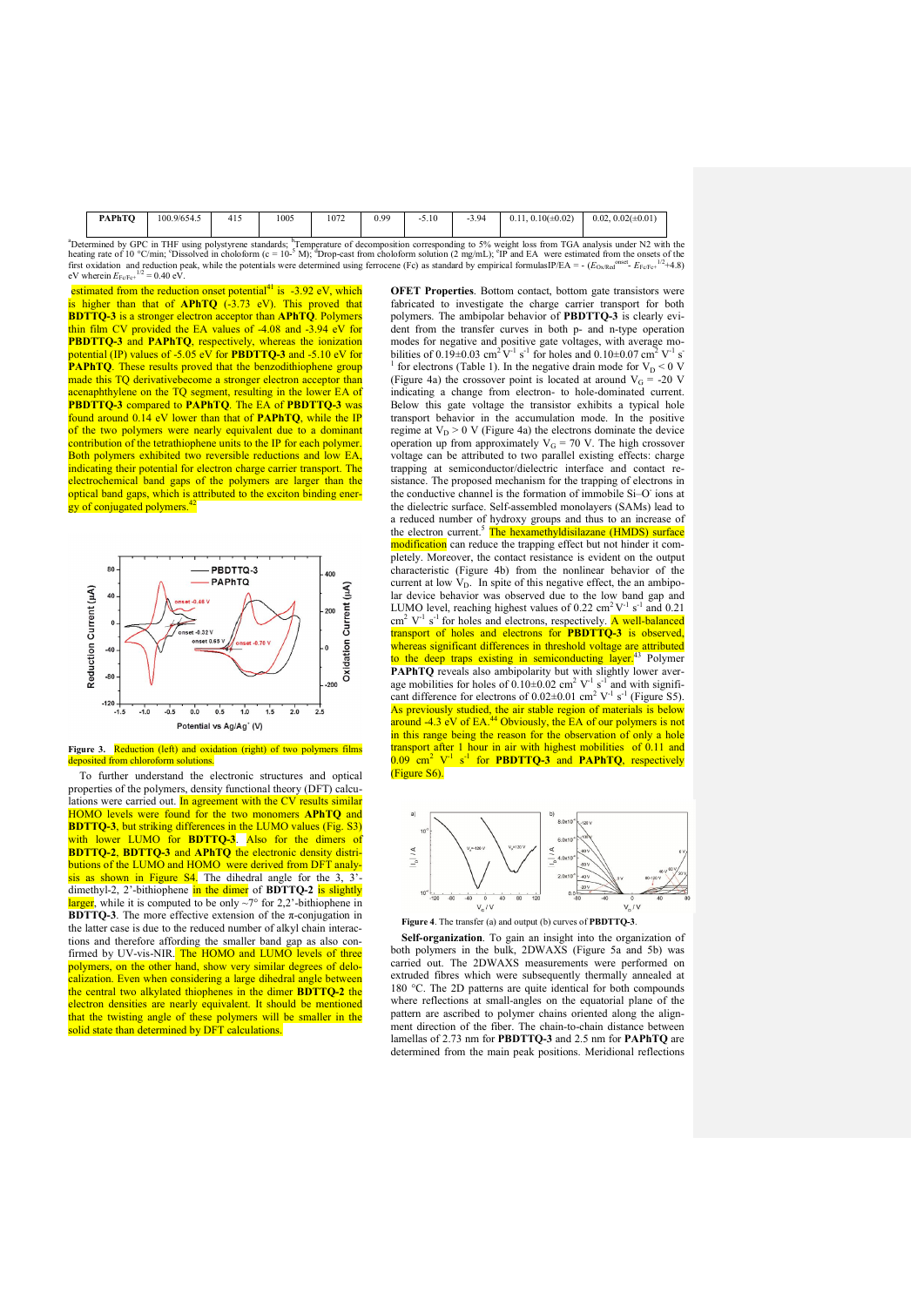| PAPhTO | 100.9/654.5    | .<br>-415 | 1005        | 1072 | 00 ۲<br>v., | 5.10<br>- 1 | 3.94<br>$\overline{\phantom{0}}$ | $0.10(\pm 0.02)$<br>0.11. | $0.02(\pm 0.01)$<br>0.02, |
|--------|----------------|-----------|-------------|------|-------------|-------------|----------------------------------|---------------------------|---------------------------|
| $\sim$ | <b>COLLANS</b> |           | <b>Draw</b> |      |             |             | $\sim$                           | $m - i$                   | 5.78                      |

"Determined by GPC in THF using polystyrene standards; <sup>b</sup>Temperature of decomposition corresponding to 5% weight loss from TGA analysis under N2 with the heating rate of 10 °C/min; 'Dissolved in choloform (c = 10<sup>-5</sup> M);

estimated from the reduction onset potential<sup>41</sup> is  $-3.92$  eV, which is higher than that of  $APhTQ$  (-3.73 eV). This proved that BDTTQ-3 is a stronger electron acceptor than APhTQ. Polymers thin film CV provided the EA values of -4.08 and -3.94 eV for PBDTTQ-3 and PAPhTQ, respectively, whereas the ionization potential (IP) values of -5.05 eV for PBDTTQ-3 and -5.10 eV for **PAPhTQ**. These results proved that the benzodithiophene group made this TQ derivativebecome a stronger electron acceptor than acenaphthylene on the TQ segment, resulting in the lower EA of PBDTTQ-3 compared to PAPhTQ. The EA of PBDTTQ-3 was found around  $0.14$  eV lower than that of **PAPhTQ**, while the IF of the two polymers were nearly equivalent due to a dominant contribution of the tetrathiophene units to the IP for each polymer. Both polymers exhibited two reversible reductions and low EA indicating their potential for electron charge carrier transport. The electrochemical band gaps of the polymers are larger than the optical band gaps, which is attributed to the exciton binding energy of conjugated polymers.<sup>42</sup>



Figure 3. Reduction (left) and oxidation (right) of two polymers films rom chloroform solutions

To further understand the electronic structures and optical properties of the polymers, density functional theory (DFT) calculations were carried out. In agreement with the CV results similar HOMO levels were found for the two monomers APhTQ and BDTTQ-3, but striking differences in the LUMO values (Fig. S3) with lower LUMO for **BDTTQ-3**. Also for the dimers of BDTTQ-2, BDTTQ-3 and APhTQ the electronic density distributions of the LUMO and HOMO were derived from DFT analysis as shown in Figure  $S4$ . The dihedral angle for the 3, 3<sup>'</sup>dimethyl-2, 2'-bithiophene in the dimer of BDTTQ-2 is slightly larger, while it is computed to be only  $\sim 7^{\circ}$  for 2,2'-bithiophene in **BDTTO-3**. The more effective extension of the  $\pi$ -conjugation in the latter case is due to the reduced number of alkyl chain interactions and therefore affording the smaller band gap as also confirmed by UV-vis-NIR. The HOMO and LUMO levels of three polymers, on the other hand, show very similar degrees of delocalization. Even when considering a large dihedral angle between the central two alkylated thiophenes in the dimer **BDTTQ-2** the electron densities are nearly equivalent. It should be mentioned that the twisting angle of these polymers will be smaller in the solid state than determined by DFT calculations.

OFET Properties. Bottom contact, bottom gate transistors were fabricated to investigate the charge carrier transport for both polymers. The ambipolar behavior of **PBDTTQ-3** is clearly evident from the transfer curves in both p- and n-type operation modes for negative and positive gate voltages, with average mo-<br>bilities of  $0.19 \pm 0.03$  cm<sup>2</sup> V<sup>-1</sup> s<sup>-1</sup> for holes and  $0.10 \pm 0.07$  cm<sup>2</sup> V<sup>-1</sup> s<sup>-1</sup> for electrons (Table 1). In the negative drain mode for  $V_D < 0$  V (Figure 4a) the crossover point is located at around  $V_G = -20$  V indicating a change from electron- to hole-dominated current. Below this gate voltage the transistor exhibits a typical hole transport behavior in the accumulation mode. In the positive regime at  $V_D > 0$  V (Figure 4a) the electrons dominate the device operation up from approximately  $V_G = 70$  V. The high crossover voltage can be attributed to two parallel existing effects: charge trapping at semiconductor/dielectric interface and contact resistance. The proposed mechanism for the trapping of electrons in the conductive channel is the formation of immobile Si–O- ions at the dielectric surface. Self-assembled monolayers (SAMs) lead to a reduced number of hydroxy groups and thus to an increase of the electron current.<sup>5</sup> The hexamethyldisilazane (HMDS) surface modification can reduce the trapping effect but not hinder it completely. Moreover, the contact resistance is evident on the output characteristic (Figure 4b) from the nonlinear behavior of the current at low  $V_D$ . In spite of this negative effect, the an ambipolar device behavior was observed due to the low band gap and LUMO level, reaching highest values of  $0.22 \text{ cm}^2 \text{V}^{-1} \text{ s}^{-1}$  and  $0.21$  $\text{cm}^2$  V<sup>-1</sup> s<sup>-1</sup> for holes and electrons, respectively. **A well-balanced** transport of holes and electrons for **PBDTTO-3** is observed whereas significant differences in threshold voltage are attributed to the deep traps existing in semiconducting layer.<sup>43</sup> Polymer PAPhTQ reveals also ambipolarity but with slightly lower average mobilities for holes of  $0.10 \pm 0.02$  cm<sup>2</sup> V<sup>-1</sup> s<sup>-1</sup> and with significant difference for electrons of  $0.02 \pm 0.01$  cm<sup>2</sup> V<sup>-1</sup> s<sup>-1</sup> (Figure S5). As previously studied, the air stable region of materials is below around -4.3 eV of EA.<sup>44</sup> Obviously, the EA of our polymers is not in this range being the reason for the observation of only a hole transport after 1 hour in air with highest mobilities of 0.11 and  $0.09 \text{ cm}^2$  V<sup>-1</sup> s<sup>-1</sup> for **PBDTTQ-3** and **PAPhTQ**, respectively





Figure 4. The transfer (a) and output (b) curves of PBDTTQ-3.

Self-organization. To gain an insight into the organization of both polymers in the bulk, 2DWAXS (Figure 5a and 5b) was carried out. The 2DWAXS measurements were performed on extruded fibres which were subsequently thermally annealed at 180 °C. The 2D patterns are quite identical for both compounds where reflections at small-angles on the equatorial plane of the pattern are ascribed to polymer chains oriented along the alignment direction of the fiber. The chain-to-chain distance between lamellas of 2.73 nm for PBDTTQ-3 and 2.5 nm for PAPhTQ are determined from the main peak positions. Meridional reflections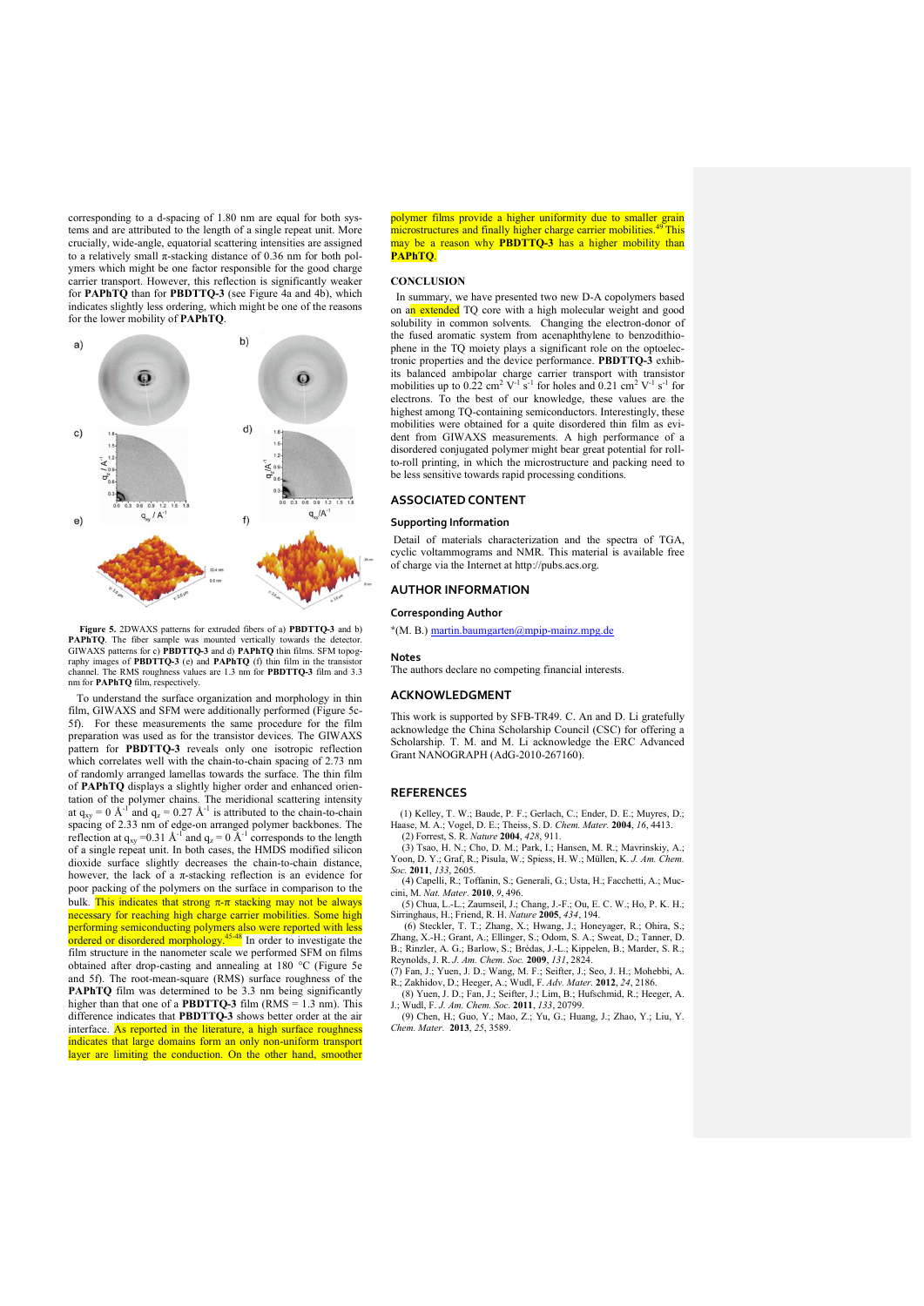corresponding to a d-spacing of 1.80 nm are equal for both systems and are attributed to the length of a single repeat unit. More crucially, wide-angle, equatorial scattering intensities are assigned to a relatively small  $\pi$ -stacking distance of 0.36 nm for both polymers which might be one factor responsible for the good charge carrier transport. However, this reflection is significantly weaker for PAPhTQ than for PBDTTQ-3 (see Figure 4a and 4b), which indicates slightly less ordering, which might be one of the reasons for the lower mobility of PAPhTQ.



Figure 5. 2DWAXS patterns for extruded fibers of a) PBDTTQ-3 and b) **PAPhTQ**. The fiber sample was mounted vertically towards the detector.<br>GIWAXS patterns for c) **PBDTTQ-3** and d) **PAPhTQ** thin films. SFM topography images of **PBDTTQ-3** (e) and **PAPhTQ** (f) thin film in the transitorchannel. The RMS roughness values are 1.3 nm for PBDTTQ-3 film and 3.3 nm for PAPhTQ film, respectively.

 To understand the surface organization and morphology in thin film, GIWAXS and SFM were additionally performed (Figure 5c-5f). For these measurements the same procedure for the film preparation was used as for the transistor devices. The GIWAXS pattern for PBDTTQ-3 reveals only one isotropic reflection which correlates well with the chain-to-chain spacing of 2.73 nm of randomly arranged lamellas towards the surface. The thin film of PAPhTQ displays a slightly higher order and enhanced orientation of the polymer chains. The meridional scattering intensity at  $q_{xy} = 0 \text{ Å}^{-1}$  and  $q_z = 0.27 \text{ Å}^{-1}$  is attributed to the chain-to-chain spacing of 2.33 nm of edge-on arranged polymer backbones. The reflection at  $q_{xy}$  =0.31 Å<sup>-1</sup> and  $q_z$  = 0 Å<sup>-1</sup> corresponds to the length of a single repeat unit. In both cases, the HMDS modified silicon dioxide surface slightly decreases the chain-to-chain distance, however, the lack of a  $\pi$ -stacking reflection is an evidence for poor packing of the polymers on the surface in comparison to the bulk. This indicates that strong  $\pi$ - $\pi$  stacking may not be always necessary for reaching high charge carrier mobilities. Some high performing semiconducting polymers also were reported with less ordered or disordered morphology.<sup>45-48</sup> In order to investigate the film structure in the nanometer scale we performed SFM on films obtained after drop-casting and annealing at 180 °C (Figure 5e and 5f). The root-mean-square (RMS) surface roughness of the PAPhTQ film was determined to be 3.3 nm being significantly higher than that one of a **PRDTTO-3** film  $(RMS = 1.3 \text{ nm})$ . This difference indicates that PBDTTQ-3 shows better order at the air interface. As reported in the literature, a high surface roughness indicates that large domains form an only non-uniform transport layer are limiting the conduction. On the other hand, smoother

polymer films provide a higher uniformity due to smaller grain microstructures and finally higher charge carrier mobilities.<sup>49</sup> This may be a reason why **PBDTTQ-3** has a higher mobility than PAPhTQ.

#### **CONCLUSION**

 In summary, we have presented two new D-A copolymers based on an extended TQ core with a high molecular weight and good solubility in common solvents. Changing the electron-donor of the fused aromatic system from acenaphthylene to benzodithiophene in the TQ moiety plays a significant role on the optoelectronic properties and the device performance. PBDTTQ-3 exhibits balanced ambipolar charge carrier transport with transistor mobilities up to 0.22 cm<sup>2</sup> V<sup>-1</sup> s<sup>-1</sup> for holes and 0.21 cm<sup>2</sup> V<sup>-1</sup> s<sup>-1</sup> for electrons. To the best of our knowledge, these values are the highest among TQ-containing semiconductors. Interestingly, these mobilities were obtained for a quite disordered thin film as evident from GIWAXS measurements. A high performance of a disordered conjugated polymer might bear great potential for rollto-roll printing, in which the microstructure and packing need to be less sensitive towards rapid processing conditions.

# ASSOCIATED CONTENT

#### Supporting Information

Detail of materials characterization and the spectra of TGA, cyclic voltammograms and NMR. This material is available free of charge via the Internet at http://pubs.acs.org.

# AUTHOR INFORMATION

### Corresponding Author

\*(M. B.) martin.baumgarten@mpip-mainz.mpg.de

#### Notes

The authors declare no competing financial interests.

# ACKNOWLEDGMENT

This work is supported by SFB-TR49. C. An and D. Li gratefully acknowledge the China Scholarship Council (CSC) for offering a Scholarship. T. M. and M. Li acknowledge the ERC Advanced Grant NANOGRAPH (AdG-2010-267160).

#### **REFERENCES**

 (1) Kelley, T. W.; Baude, P. F.; Gerlach, C.; Ender, D. E.; Muyres, D.; Haase, M. A.; Vogel, D. E.; Theiss, S. D. *Chem. Mater.* 2004, *16*, 4413. (2) Forrest, S. R. *Nature* 2004, *428*, 911.

(3) Tsao, H. N.; Cho, D. M.; Park, I.; Hansen, M. R.; Mavrinskiy, A.; Yoon, D. Y.; Graf, R.; Pisula, W.; Spiess, H. W.; Müllen, K. *J. Am. Chem. Soc.* 2011, *133*, 2605.

(4) Capelli, R.; Toffanin, S.; Generali, G.; Usta, H.; Facchetti, A.; Muc-cini, M. *Nat. Mater.* 2010, *9*, 496.

(5) Chua, L.-L.; Zaumseil, J.; Chang, J.-F.; Ou, E. C. W.; Ho, P. K. H.; Sirringhaus, H.; Friend, R. H. *Nature* 2005, *434*, 194.

(6) Steckler, T. T.; Zhang, X.; Hwang, J.; Honeyager, R.; Ohira, S.; Zhang, X.-H.; Grant, A.; Ellinger, S.; Odom, S. A.; Sweat, D.; Tanner, D. B.; Rinzler, A. G.; Barlow, S.; Brédas, J.-L.; Kippelen, B.; Marder, S. R.; Reynolds, J. R. *J. Am. Chem. Soc.* 2009, *131*, 2824.

(7) Fan, J.; Yuen, J. D.; Wang, M. F.; Seifter, J.; Seo, J. H.; Mohebbi, A. R.; Zakhidov, D.; Heeger, A.; Wudl, F. *Adv. Mater.* 2012, *24*, 2186.

(8) Yuen, J. D.; Fan, J.; Seifter, J.; Lim, B.; Hufschmid, R.; Heeger, A. J.; Wudl, F. *J. Am. Chem. Soc.* 2011, *133*, 20799.

(9) Chen, H.; Guo, Y.; Mao, Z.; Yu, G.; Huang, J.; Zhao, Y.; Liu, Y. *Chem. Mater.* 2013, *25*, 3589.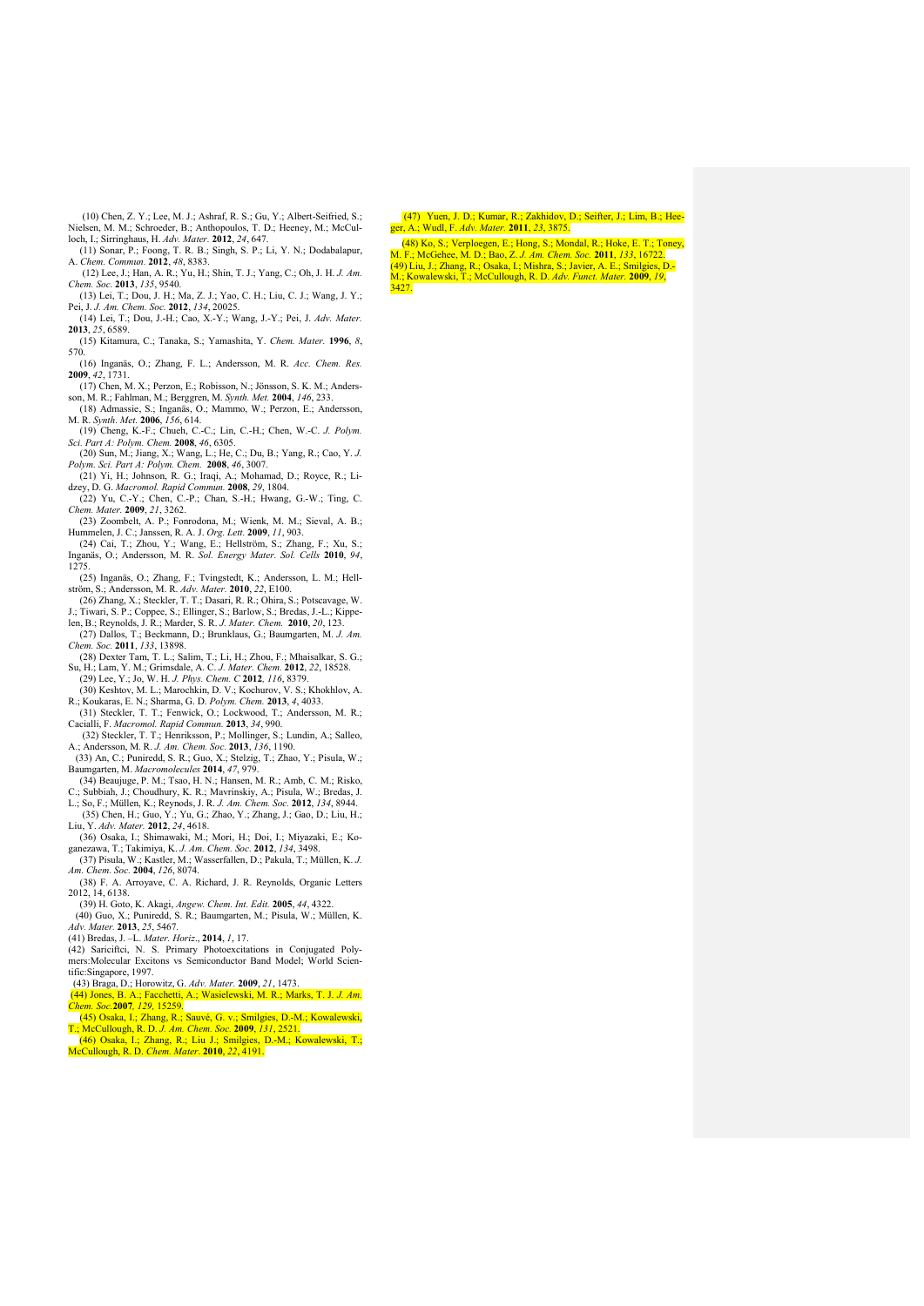(10) Chen, Z. Y.; Lee, M. J.; Ashraf, R. S.; Gu, Y.; Albert-Seifried, S.; Nielsen, M. M.; Schroeder, B.; Anthopoulos, T. D.; Heeney, M.; McCulloch, I.; Sirringhaus, H. Adv. Mater. 2012, 24, 647.<br>(11) Sonar, P.; Foong, T. R. B.; Singh, S. P.; Li, Y. N.; Dodabalapur, (11) Sonar, P.; Foong, T. R.

- (12) Lee, J.; Han, A. R.; Yu, H.; Shin, T. J.; Yang, C.; Oh, J. H. *J. Am.*
- *Chem. Soc.* 2013, *135*, 9540. (13) Lei, T.; Dou, J. H.; Ma, Z. J.; Yao, C. H.; Liu, C. J.; Wang, J. Y.;
- Pei, J. *J. Am. Chem. Soc.* 2012, *134*, 20025. (14) Lei, T.; Dou, J.-H.; Cao, X.-Y.; Wang, J.-Y.; Pei, J. *Adv. Mater.*
- 2013, *25*, 6589. (15) Kitamura, C.; Tanaka, S.; Yamashita, Y. *Chem. Mater.* 1996, *8*, 570.
- (16) Inganäs, O.; Zhang, F. L.; Andersson, M. R. *Acc. Chem. Res.* 2009, *42*, 1731.
- (17) Chen, M. X.; Perzon, E.; Robisson, N.; Jönsson, S. K. M.; Anders-
- son, M. R.; Fahlman, M.; Berggren, M. *Synth. Met.* 2004, *146*, 233. (18) Admassie, S.; Inganäs, O.; Mammo, W.; Perzon, E.; Andersson, M. R. *Synth. Met.* 2006, *156*, 614.
- (19) Cheng, K.-F.; Chueh, C.-C.; Lin, C.-H.; Chen, W.-C. *J. Polym.*
- Sci. Part A: Polym. Chem. 2008, 46, 6305.<br>(20) Sun, M.; Jiang, X.; Wang, L.; He, C.; Du, B.; Yang, R.; Cao, Y. J.<br>Polym. Sci. Part A: Polym. Chem. 2008, 46, 3007.<br>(21) Yi, H.; Johnson, R. G.; Iraqi, A.; Mohamad, D.; Royce,
- 
- (22) Yu, C.-Y.; Chen, C.-P.; Chan, S.-H.; Hwang, G.-W.; Ting, C. *Chem. Mater.* 2009, *21*, 3262. (23) Zoombelt, A. P.; Fonrodona, M.; Wienk, M. M.; Sieval, A. B.;
- Hummelen, J. C.; Janssen, R. A. J. *Org. Lett.* **2009**, *11*, 903.<br>(24) Cai, T.; Zhou, Y.; Wang, E.; Hellström, S.; Zhang, F.; Xu, S.;<br>Inganäs, O.; Andersson, M. R. *Sol. Energy Mater. Sol. Cells* **2010**, 94,
- 1275.
- (25) Inganäs, O.; Zhang, F.; Tvingstedt, K.; Andersson, L. M.; Hell-ström, S.; Andersson, M. R. *Adv. Mater.* 2010, *22*, E100. (26) Zhang, X.; Steckler, T. T.; Dasari, R. R.; Ohira, S.; Potscavage, W.
- J.; Tiwari, S. P.; Coppee, S.; Ellinger, S.; Barlow, S.; Bredas, J.-L.; Kippe-len, B.; Reynolds, J. R.; Marder, S. R. *J. Mater. Chem.* 2010, *20*, 123.
- (27) Dallos, T.; Beckmann, D.; Brunklaus, G.; Baumgarten, M. *J. Am. Chem. Soc.* 2011, *133*, 13898.
- (28) Dexter Tam, T. L.; Salim, T.; Li, H.; Zhou, F.; Mhaisalkar, S. G.; Su, H.; Lam, Y. M.; Grimsdale, A. C. *J. Mater. Chem.* 2012, *22*, 18528. (29) Lee, Y.; Jo, W. H. *J. Phys. Chem. C* 2012*, 116*, 8379.
- (30) Keshtov, M. L.; Marochkin, D. V.; Kochurov, V. S.; Khokhlov, A. R.; Koukaras, E. N.; Sharma, G. D. *Polym. Chem.* 2013, *4*, 4033.
- (31) Steckler, T. T.; Fenwick, O.; Lockwood, T.; Andersson, M. R.;
- Cacialli, F. *Macromol. Rapid Commun.* **2013**, 34, 990.<br>
(32) Steckler, T. T.; Henriksson, P.; Mollinger, S.; Lundin, A.; Salleo,<br>
A.; Andersson, M. R. J. Am. Chem. Soc. **2013**, 136, 1190.<br>
(33) An, C.; Puniredd, S. R.; G
- 
- Baumgarten, M. *Macromolecules* **2014**, 47, 979.<br>(34) Beaujuge, P. M.; Tsao, H. N.; Hansen, M. R.; Amb, C. M.; Risko,<br>C.; Subbiah, J.; Choudhury, K. R.; Mavrinskiy, A.; Pisula, W.; Bredas, J.<br>L.; So, F.; Müllen, K.; Reynod
- (35) Chen, H.; Guo, Y.; Yu, G.; Zhao, Y.; Zhang, J.; Gao, D.; Liu, H.;
- Liu, Y. *Adv. Mater.* 2012, *24*, 4618.
- (36) Osaka, I.; Shimawaki, M.; Mori, H.; Doi, I.; Miyazaki, E.; Ko-ganezawa, T.; Takimiya, K. *J. Am. Chem. Soc.* 2012, *134*, 3498. (37) Pisula, W.; Kastler, M.; Wasserfallen, D.; Pakula, T.; Müllen, K. *J.*
- *Am. Chem. Soc.* 2004, *126*, 8074. (38) F. A. Arroyave, C. A. Richard, J. R. Reynolds, Organic Letters  $2012, 14, 6138.$
- (39) H. Goto, K. Akagi, *Angew. Chem. Int. Edit.* 2005, *44*, 4322. (40) Guo, X.; Puniredd, S. R.; Baumgarten, M.; Pisula, W.; Müllen, K.
- *Adv. Mater.* 2013, *25*, 5467.
- (41) Bredas, J. –L. *Mater. Horiz*., 2014, *1*, 17.
- (42) Sariciftci, N. S. Primary Photoexcitations in Conjugated Poly-
- mers:Molecular Excitons vs Semiconductor Band Model; World Scientific:Singapore, 1997. (43) Braga, D.; Horowitz, G. *Adv. Mater.* 2009, *21*, 1473.
- (44) Jones, B. A.; Facchetti, A.; Wasielewski, M. R.; Marks, T. J. *J. Am. Chem. Soc.*2007*, 129,* 15259*.*
- (45) Osaka, I.; Zhang, R.; Sauvé, G. v.; Smilgies, D.-M.; Kowalewski, T.; McCullough, R. D. *J. Am. Chem. Soc.* 2009, *131*, 2521.
- (46) Osaka, I.; Zhang, R.; Liu J.; Smilgies, D.-M.; Kowalewski, T.; McCullough, R. D. *Chem. Mater*. 2010, *22*, 4191.

(47) Yuen, J. D.; Kumar, R.; Zakhidov, D.; Seifter, J.; Lim, B.; Hee-ger, A.; Wudl, F. *Adv. Mater.* 2011, *23*, 3875.

(48) Ko, S.; Verploegen, E.; Hong, S.; Mondal, R.; Hoke, E. T.; Toney, M. F.; McGehee, M. D.; Bao, Z. *J. Am. Chem. Soc.* 2011, *133*, 16722. (49) Liu, J.; Zhang, R.; Osaka, I.; Mishra, S.; Javier, A. E.; Smilgies, D.- M.; Kowalewski, T.; McCullough, R. D. *Adv. Funct. Mater.* 2009, *19*,  $3427$